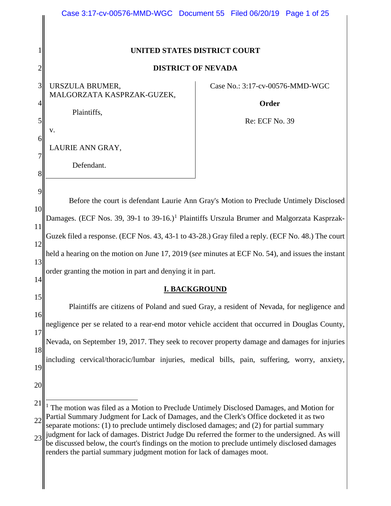<span id="page-0-0"></span>

|                                                         | Case 3:17-cv-00576-MMD-WGC Document 55 Filed 06/20/19 Page 1 of 25                                                                                                                                                                                                                                                                                                                                                                                                                                                                                                                                                                                                                                                                                                                             |                                          |  |  |  |
|---------------------------------------------------------|------------------------------------------------------------------------------------------------------------------------------------------------------------------------------------------------------------------------------------------------------------------------------------------------------------------------------------------------------------------------------------------------------------------------------------------------------------------------------------------------------------------------------------------------------------------------------------------------------------------------------------------------------------------------------------------------------------------------------------------------------------------------------------------------|------------------------------------------|--|--|--|
|                                                         |                                                                                                                                                                                                                                                                                                                                                                                                                                                                                                                                                                                                                                                                                                                                                                                                |                                          |  |  |  |
|                                                         | UNITED STATES DISTRICT COURT                                                                                                                                                                                                                                                                                                                                                                                                                                                                                                                                                                                                                                                                                                                                                                   |                                          |  |  |  |
| $\overline{2}$                                          | <b>DISTRICT OF NEVADA</b>                                                                                                                                                                                                                                                                                                                                                                                                                                                                                                                                                                                                                                                                                                                                                                      |                                          |  |  |  |
| 3<br>$\overline{4}$                                     | URSZULA BRUMER,<br>MALGORZATA KASPRZAK-GUZEK,<br>Plaintiffs,                                                                                                                                                                                                                                                                                                                                                                                                                                                                                                                                                                                                                                                                                                                                   | Case No.: 3:17-cv-00576-MMD-WGC<br>Order |  |  |  |
| 5<br>6<br>7<br>8                                        | v.<br>LAURIE ANN GRAY,<br>Defendant.                                                                                                                                                                                                                                                                                                                                                                                                                                                                                                                                                                                                                                                                                                                                                           | Re: ECF No. 39                           |  |  |  |
| 9<br>10<br>11<br>12<br>13<br>14<br>15<br>16<br>17<br>18 | Before the court is defendant Laurie Ann Gray's Motion to Preclude Untimely Disclosed<br>Damages. (ECF Nos. 39, 39-1 to 39-16.) <sup>1</sup> Plaintiffs Urszula Brumer and Malgorzata Kasprzak-<br>Guzek filed a response. (ECF Nos. 43, 43-1 to 43-28.) Gray filed a reply. (ECF No. 48.) The court<br>held a hearing on the motion on June 17, 2019 (see minutes at ECF No. 54), and issues the instant<br>order granting the motion in part and denying it in part.<br><b>I. BACKGROUND</b><br>Plaintiffs are citizens of Poland and sued Gray, a resident of Nevada, for negligence and<br>negligence per se related to a rear-end motor vehicle accident that occurred in Douglas County,<br>Nevada, on September 19, 2017. They seek to recover property damage and damages for injuries |                                          |  |  |  |
| 19<br>20<br>21<br>22<br>23                              | including cervical/thoracic/lumbar injuries, medical bills, pain, suffering, worry, anxiety,<br>The motion was filed as a Motion to Preclude Untimely Disclosed Damages, and Motion for<br>Partial Summary Judgment for Lack of Damages, and the Clerk's Office docketed it as two<br>separate motions: (1) to preclude untimely disclosed damages; and (2) for partial summary<br>judgment for lack of damages. District Judge Du referred the former to the undersigned. As will<br>be discussed below, the court's findings on the motion to preclude untimely disclosed damages<br>renders the partial summary judgment motion for lack of damages moot.                                                                                                                                   |                                          |  |  |  |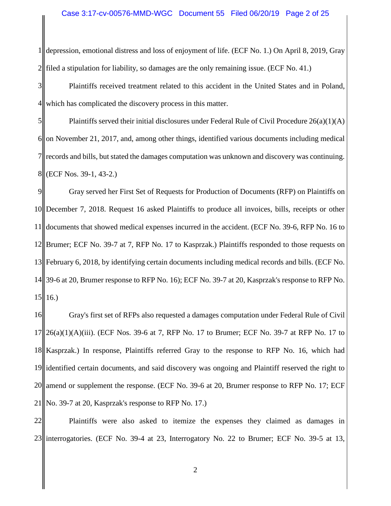1 2 depression, emotional distress and loss of enjoyment of life. (ECF No. 1.) On April 8, 2019, Gray filed a stipulation for liability, so damages are the only remaining issue. (ECF No. 41.)

3 4 Plaintiffs received treatment related to this accident in the United States and in Poland, which has complicated the discovery process in this matter.

5 6 7 8 Plaintiffs served their initial disclosures under Federal Rule of Civil Procedure  $26(a)(1)(A)$ on November 21, 2017, and, among other things, identified various documents including medical records and bills, but stated the damages computation was unknown and discovery was continuing. (ECF Nos. 39-1, 43-2.)

9 10 11 12 13 14 39-6 at 20, Brumer response to RFP No. 16); ECF No. 39-7 at 20, Kasprzak's response to RFP No.  $15||16.$ Gray served her First Set of Requests for Production of Documents (RFP) on Plaintiffs on December 7, 2018. Request 16 asked Plaintiffs to produce all invoices, bills, receipts or other documents that showed medical expenses incurred in the accident. (ECF No. 39-6, RFP No. 16 to Brumer; ECF No. 39-7 at 7, RFP No. 17 to Kasprzak.) Plaintiffs responded to those requests on February 6, 2018, by identifying certain documents including medical records and bills. (ECF No.

16 17 18 19 20 21 Gray's first set of RFPs also requested a damages computation under Federal Rule of Civil  $26(a)(1)(A)(iii)$ . (ECF Nos. 39-6 at 7, RFP No. 17 to Brumer; ECF No. 39-7 at RFP No. 17 to Kasprzak.) In response, Plaintiffs referred Gray to the response to RFP No. 16, which had identified certain documents, and said discovery was ongoing and Plaintiff reserved the right to amend or supplement the response. (ECF No. 39-6 at 20, Brumer response to RFP No. 17; ECF No. 39-7 at 20, Kasprzak's response to RFP No. 17.)

22 23 interrogatories. (ECF No. 39-4 at 23, Interrogatory No. 22 to Brumer; ECF No. 39-5 at 13, Plaintiffs were also asked to itemize the expenses they claimed as damages in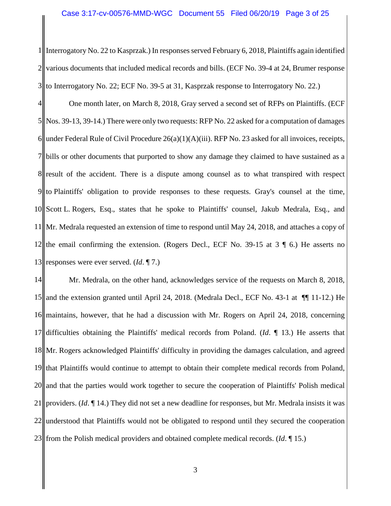1 2 3 Interrogatory No. 22 to Kasprzak.) In responses served February 6, 2018, Plaintiffs again identified various documents that included medical records and bills. (ECF No. 39-4 at 24, Brumer response to Interrogatory No. 22; ECF No. 39-5 at 31, Kasprzak response to Interrogatory No. 22.)

4 5 6 7  $8$  result of the accident. There is a dispute among counsel as to what transpired with respect 9 10 11 12 13 One month later, on March 8, 2018, Gray served a second set of RFPs on Plaintiffs. (ECF Nos. 39-13, 39-14.) There were only two requests: RFP No. 22 asked for a computation of damages under Federal Rule of Civil Procedure 26(a)(1)(A)(iii). RFP No. 23 asked for all invoices, receipts, bills or other documents that purported to show any damage they claimed to have sustained as a to Plaintiffs' obligation to provide responses to these requests. Gray's counsel at the time, Scott L. Rogers, Esq., states that he spoke to Plaintiffs' counsel, Jakub Medrala, Esq., and Mr. Medrala requested an extension of time to respond until May 24, 2018, and attaches a copy of the email confirming the extension. (Rogers Decl., ECF No. 39-15 at 3 ¶ 6.) He asserts no responses were ever served. (*Id*. ¶ 7.)

14 15 16 17 18 Mr. Rogers acknowledged Plaintiffs' difficulty in providing the damages calculation, and agreed 19 20 21 22 23 Mr. Medrala, on the other hand, acknowledges service of the requests on March 8, 2018, and the extension granted until April 24, 2018. (Medrala Decl., ECF No. 43-1 at ¶¶ 11-12.) He maintains, however, that he had a discussion with Mr. Rogers on April 24, 2018, concerning difficulties obtaining the Plaintiffs' medical records from Poland. (*Id*. ¶ 13.) He asserts that that Plaintiffs would continue to attempt to obtain their complete medical records from Poland, and that the parties would work together to secure the cooperation of Plaintiffs' Polish medical providers. (*Id*. ¶ 14.) They did not set a new deadline for responses, but Mr. Medrala insists it was understood that Plaintiffs would not be obligated to respond until they secured the cooperation from the Polish medical providers and obtained complete medical records. (*Id*. ¶ 15.)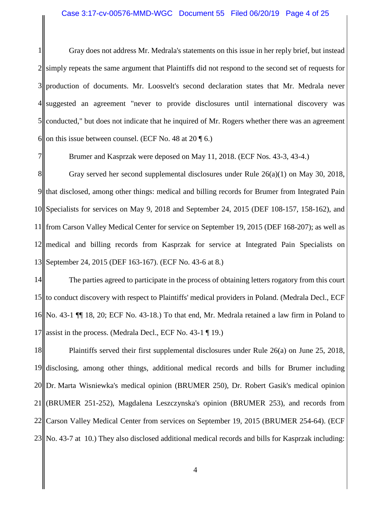1 2 3 4 5 6 Gray does not address Mr. Medrala's statements on this issue in her reply brief, but instead simply repeats the same argument that Plaintiffs did not respond to the second set of requests for production of documents. Mr. Loosvelt's second declaration states that Mr. Medrala never suggested an agreement "never to provide disclosures until international discovery was conducted," but does not indicate that he inquired of Mr. Rogers whether there was an agreement on this issue between counsel. (ECF No. 48 at 20 ¶ 6.)

Brumer and Kasprzak were deposed on May 11, 2018. (ECF Nos. 43-3, 43-4.)

7

8 9 10 11 12 13 Gray served her second supplemental disclosures under Rule 26(a)(1) on May 30, 2018, that disclosed, among other things: medical and billing records for Brumer from Integrated Pain Specialists for services on May 9, 2018 and September 24, 2015 (DEF 108-157, 158-162), and from Carson Valley Medical Center for service on September 19, 2015 (DEF 168-207); as well as medical and billing records from Kasprzak for service at Integrated Pain Specialists on September 24, 2015 (DEF 163-167). (ECF No. 43-6 at 8.)

14 15 16 17 The parties agreed to participate in the process of obtaining letters rogatory from this court to conduct discovery with respect to Plaintiffs' medical providers in Poland. (Medrala Decl., ECF No. 43-1 ¶¶ 18, 20; ECF No. 43-18.) To that end, Mr. Medrala retained a law firm in Poland to assist in the process. (Medrala Decl., ECF No. 43-1 ¶ 19.)

18 19 20 21 22 23 Plaintiffs served their first supplemental disclosures under Rule 26(a) on June 25, 2018, disclosing, among other things, additional medical records and bills for Brumer including Dr. Marta Wisniewka's medical opinion (BRUMER 250), Dr. Robert Gasik's medical opinion (BRUMER 251-252), Magdalena Leszczynska's opinion (BRUMER 253), and records from Carson Valley Medical Center from services on September 19, 2015 (BRUMER 254-64). (ECF No. 43-7 at 10.) They also disclosed additional medical records and bills for Kasprzak including: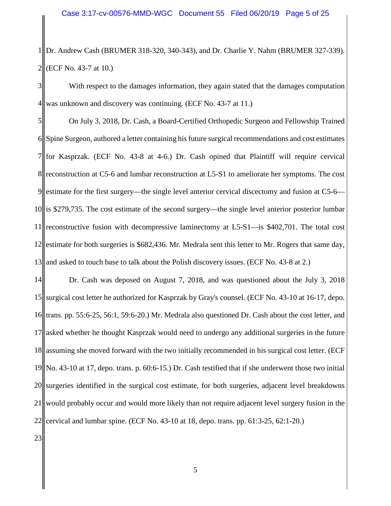1 2 Dr. Andrew Cash (BRUMER 318-320, 340-343), and Dr. Charlie Y. Nahm (BRUMER 327-339). (ECF No. 43-7 at 10.)

3 4 With respect to the damages information, they again stated that the damages computation was unknown and discovery was continuing. (ECF No. 43-7 at 11.)

5 6 7  $8<sub>II</sub>$ 9 10 11 12 13 On July 3, 2018, Dr. Cash, a Board-Certified Orthopedic Surgeon and Fellowship Trained Spine Surgeon, authored a letter containing his future surgical recommendations and cost estimates for Kasprzak. (ECF No. 43-8 at 4-6.) Dr. Cash opined that Plaintiff will require cervical reconstruction at C5-6 and lumbar reconstruction at L5-S1 to ameliorate her symptoms. The cost estimate for the first surgery—the single level anterior cervical discectomy and fusion at C5-6 is \$279,735. The cost estimate of the second surgery—the single level anterior posterior lumbar reconstructive fusion with decompressive laminectomy at L5-S1—is \$402,701. The total cost estimate for both surgeries is \$682,436. Mr. Medrala sent this letter to Mr. Rogers that same day, and asked to touch base to talk about the Polish discovery issues. (ECF No. 43-8 at 2.)

14 15 16 17 18 19 20 21 22 Dr. Cash was deposed on August 7, 2018, and was questioned about the July 3, 2018 surgical cost letter he authorized for Kasprzak by Gray's counsel. (ECF No. 43-10 at 16-17, depo. trans. pp. 55:6-25, 56:1, 59:6-20.) Mr. Medrala also questioned Dr. Cash about the cost letter, and asked whether he thought Kasprzak would need to undergo any additional surgeries in the future assuming she moved forward with the two initially recommended in his surgical cost letter. (ECF No. 43-10 at 17, depo. trans. p. 60:6-15.) Dr. Cash testified that if she underwent those two initial surgeries identified in the surgical cost estimate, for both surgeries, adjacent level breakdowns would probably occur and would more likely than not require adjacent level surgery fusion in the cervical and lumbar spine. (ECF No. 43-10 at 18, depo. trans. pp. 61:3-25, 62:1-20.)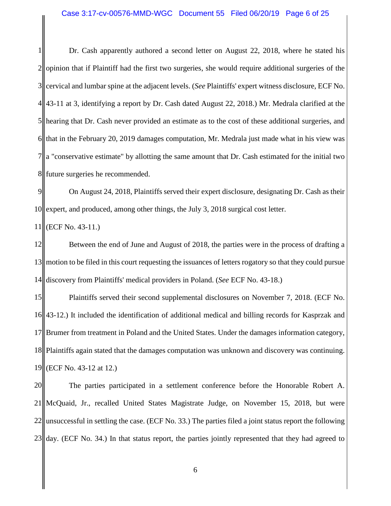1 2 3 4 5 6 7 8 Dr. Cash apparently authored a second letter on August 22, 2018, where he stated his opinion that if Plaintiff had the first two surgeries, she would require additional surgeries of the cervical and lumbar spine at the adjacent levels. (*See* Plaintiffs' expert witness disclosure, ECF No. 43-11 at 3, identifying a report by Dr. Cash dated August 22, 2018.) Mr. Medrala clarified at the hearing that Dr. Cash never provided an estimate as to the cost of these additional surgeries, and that in the February 20, 2019 damages computation, Mr. Medrala just made what in his view was a "conservative estimate" by allotting the same amount that Dr. Cash estimated for the initial two future surgeries he recommended.

9 10 On August 24, 2018, Plaintiffs served their expert disclosure, designating Dr. Cash as their expert, and produced, among other things, the July 3, 2018 surgical cost letter.

11 (ECF No. 43-11.)

12 13 14 Between the end of June and August of 2018, the parties were in the process of drafting a motion to be filed in this court requesting the issuances of letters rogatory so that they could pursue discovery from Plaintiffs' medical providers in Poland. (*See* ECF No. 43-18.)

15 16 17 18 19 Plaintiffs served their second supplemental disclosures on November 7, 2018. (ECF No. 43-12.) It included the identification of additional medical and billing records for Kasprzak and Brumer from treatment in Poland and the United States. Under the damages information category, Plaintiffs again stated that the damages computation was unknown and discovery was continuing. (ECF No. 43-12 at 12.)

20 21 22 23 The parties participated in a settlement conference before the Honorable Robert A. McQuaid, Jr., recalled United States Magistrate Judge, on November 15, 2018, but were unsuccessful in settling the case. (ECF No. 33.) The parties filed a joint status report the following day. (ECF No. 34.) In that status report, the parties jointly represented that they had agreed to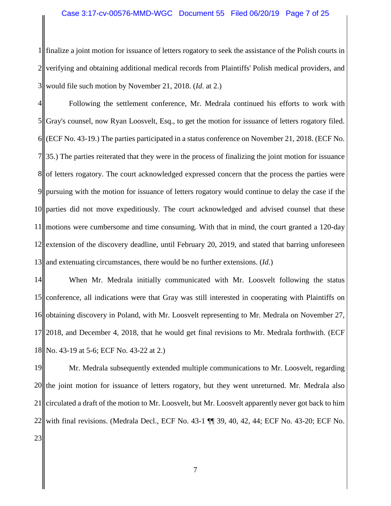### Case 3:17-cv-00576-MMD-WGC Document 55 Filed 06/20/19 Page 7 of 25

1 2 3 finalize a joint motion for issuance of letters rogatory to seek the assistance of the Polish courts in verifying and obtaining additional medical records from Plaintiffs' Polish medical providers, and would file such motion by November 21, 2018. (*Id*. at 2.)

4 5 6 7 8 9 10 11 12 13 Following the settlement conference, Mr. Medrala continued his efforts to work with Gray's counsel, now Ryan Loosvelt, Esq., to get the motion for issuance of letters rogatory filed. (ECF No. 43-19.) The parties participated in a status conference on November 21, 2018. (ECF No. 35.) The parties reiterated that they were in the process of finalizing the joint motion for issuance of letters rogatory. The court acknowledged expressed concern that the process the parties were pursuing with the motion for issuance of letters rogatory would continue to delay the case if the parties did not move expeditiously. The court acknowledged and advised counsel that these motions were cumbersome and time consuming. With that in mind, the court granted a 120-day extension of the discovery deadline, until February 20, 2019, and stated that barring unforeseen and extenuating circumstances, there would be no further extensions. (*Id*.)

14 15 16 17 18 When Mr. Medrala initially communicated with Mr. Loosvelt following the status conference, all indications were that Gray was still interested in cooperating with Plaintiffs on obtaining discovery in Poland, with Mr. Loosvelt representing to Mr. Medrala on November 27, 2018, and December 4, 2018, that he would get final revisions to Mr. Medrala forthwith. (ECF No. 43-19 at 5-6; ECF No. 43-22 at 2.)

19 20 21 22 23 Mr. Medrala subsequently extended multiple communications to Mr. Loosvelt, regarding the joint motion for issuance of letters rogatory, but they went unreturned. Mr. Medrala also circulated a draft of the motion to Mr. Loosvelt, but Mr. Loosvelt apparently never got back to him with final revisions. (Medrala Decl., ECF No. 43-1 ¶¶ 39, 40, 42, 44; ECF No. 43-20; ECF No.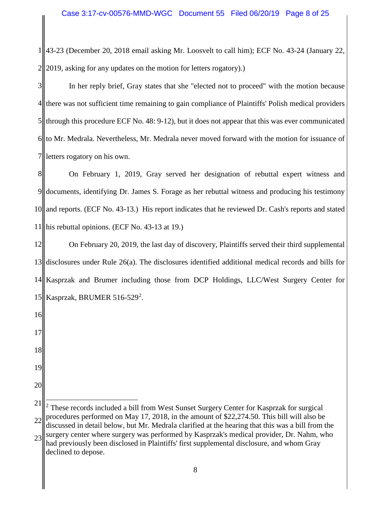1 2 43-23 (December 20, 2018 email asking Mr. Loosvelt to call him); ECF No. 43-24 (January 22, 2019, asking for any updates on the motion for letters rogatory).)

3 4 5 6 7 In her reply brief, Gray states that she "elected not to proceed" with the motion because there was not sufficient time remaining to gain compliance of Plaintiffs' Polish medical providers through this procedure ECF No. 48: 9-12), but it does not appear that this was ever communicated to Mr. Medrala. Nevertheless, Mr. Medrala never moved forward with the motion for issuance of letters rogatory on his own.

8 9 10 11 On February 1, 2019, Gray served her designation of rebuttal expert witness and documents, identifying Dr. James S. Forage as her rebuttal witness and producing his testimony and reports. (ECF No. 43-13.) His report indicates that he reviewed Dr. Cash's reports and stated his rebuttal opinions. (ECF No. 43-13 at 19.)

12 13 14 15 On February 20, 2019, the last day of discovery, Plaintiffs served their third supplemental disclosures under Rule 26(a). The disclosures identified additional medical records and bills for Kasprzak and Brumer including those from DCP Holdings, LLC/West Surgery Center for Kasprzak, BRUMER 516-5[2](#page-7-0)9<sup>2</sup>.

17

16

- 18
- 19
- 20

declined to depose.

<span id="page-7-0"></span><sup>21</sup> 22 23 <sup>2</sup> These records included a bill from West Sunset Surgery Center for Kasprzak for surgical procedures performed on May 17, 2018, in the amount of \$22,274.50. This bill will also be discussed in detail below, but Mr. Medrala clarified at the hearing that this was a bill from the surgery center where surgery was performed by Kasprzak's medical provider, Dr. Nahm, who had previously been disclosed in Plaintiffs' first supplemental disclosure, and whom Gray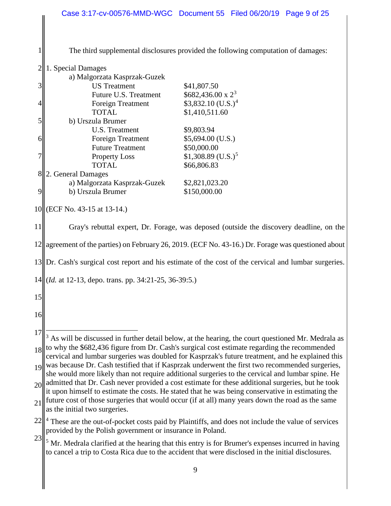<span id="page-8-2"></span><span id="page-8-1"></span><span id="page-8-0"></span>

|                  | Case 3:17-cv-00576-MMD-WGC Document 55 Filed 06/20/19 Page 9 of 25                                            |                                   |  |  |  |
|------------------|---------------------------------------------------------------------------------------------------------------|-----------------------------------|--|--|--|
|                  |                                                                                                               |                                   |  |  |  |
|                  |                                                                                                               |                                   |  |  |  |
|                  | The third supplemental disclosures provided the following computation of damages:                             |                                   |  |  |  |
| $\overline{2}$   | 1. Special Damages                                                                                            |                                   |  |  |  |
|                  | a) Malgorzata Kasprzak-Guzek                                                                                  |                                   |  |  |  |
| 3                | <b>US</b> Treatment                                                                                           | \$41,807.50                       |  |  |  |
|                  | Future U.S. Treatment                                                                                         | $$682,436.00 \times 2^3$          |  |  |  |
| $\left 4\right $ | Foreign Treatment                                                                                             | $$3,832.10$ (U.S.) <sup>4</sup>   |  |  |  |
|                  | <b>TOTAL</b>                                                                                                  | \$1,410,511.60                    |  |  |  |
| 5                | b) Urszula Brumer                                                                                             |                                   |  |  |  |
|                  | U.S. Treatment                                                                                                | \$9,803.94                        |  |  |  |
| $\overline{6}$   | Foreign Treatment<br><b>Future Treatment</b>                                                                  | $$5,694.00$ (U.S.)<br>\$50,000.00 |  |  |  |
| 7                | <b>Property Loss</b>                                                                                          | $$1,308.89$ (U.S.) <sup>5</sup>   |  |  |  |
|                  | <b>TOTAL</b>                                                                                                  | \$66,806.83                       |  |  |  |
| 8                | 2. General Damages                                                                                            |                                   |  |  |  |
|                  | a) Malgorzata Kasprzak-Guzek                                                                                  | \$2,821,023.20                    |  |  |  |
| 9                | b) Urszula Brumer                                                                                             | \$150,000.00                      |  |  |  |
|                  |                                                                                                               |                                   |  |  |  |
|                  | 10 (ECF No. 43-15 at 13-14.)                                                                                  |                                   |  |  |  |
| 11               | Gray's rebuttal expert, Dr. Forage, was deposed (outside the discovery deadline, on the                       |                                   |  |  |  |
|                  | 12 agreement of the parties) on February 26, 2019. (ECF No. 43-16.) Dr. Forage was questioned about           |                                   |  |  |  |
|                  | $13$ Dr. Cash's surgical cost report and his estimate of the cost of the cervical and lumbar surgeries.       |                                   |  |  |  |
|                  | 14 ( <i>Id.</i> at 12-13, depo. trans. pp. 34:21-25, 36-39:5.)                                                |                                   |  |  |  |
| 15               |                                                                                                               |                                   |  |  |  |
| 16               |                                                                                                               |                                   |  |  |  |
|                  |                                                                                                               |                                   |  |  |  |
| 17               | As will be discussed in further detail below, at the hearing, the court questioned Mr. Medrala as             |                                   |  |  |  |
| 18 <sup>  </sup> | to why the \$682,436 figure from Dr. Cash's surgical cost estimate regarding the recommended                  |                                   |  |  |  |
|                  | cervical and lumbar surgeries was doubled for Kasprzak's future treatment, and he explained this              |                                   |  |  |  |
| 9                | was because Dr. Cash testified that if Kasprzak underwent the first two recommended surgeries,                |                                   |  |  |  |
|                  | she would more likely than not require additional surgeries to the cervical and lumbar spine. He              |                                   |  |  |  |
|                  | $_{20}$ admitted that Dr. Cash never provided a cost estimate for these additional surgeries, but he took     |                                   |  |  |  |
|                  | it upon himself to estimate the costs. He stated that he was being conservative in estimating the             |                                   |  |  |  |
| 21               | future cost of those surgeries that would occur (if at all) many years down the road as the same              |                                   |  |  |  |
|                  | as the initial two surgeries.                                                                                 |                                   |  |  |  |
| 22               | <sup>4</sup> These are the out-of-pocket costs paid by Plaintiffs, and does not include the value of services |                                   |  |  |  |
|                  | provided by the Polish government or insurance in Poland.                                                     |                                   |  |  |  |
| 23               | <sup>5</sup> Mr. Medrala clarified at the hearing that this entry is for Brumer's expenses incurred in having |                                   |  |  |  |
|                  | to cancel a trip to Costa Rica due to the accident that were disclosed in the initial disclosures.            |                                   |  |  |  |
|                  |                                                                                                               |                                   |  |  |  |
|                  |                                                                                                               | 9                                 |  |  |  |
|                  |                                                                                                               |                                   |  |  |  |
|                  |                                                                                                               |                                   |  |  |  |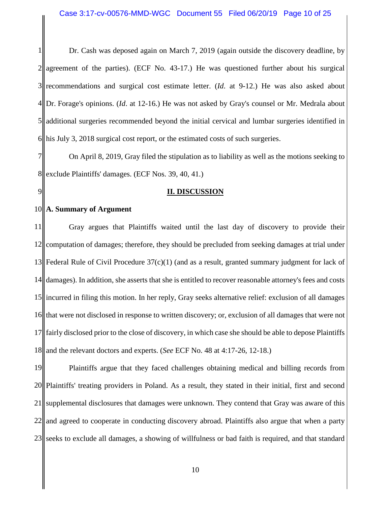1 2 3 4 5 6 Dr. Cash was deposed again on March 7, 2019 (again outside the discovery deadline, by agreement of the parties). (ECF No. 43-17.) He was questioned further about his surgical recommendations and surgical cost estimate letter. (*Id*. at 9-12.) He was also asked about Dr. Forage's opinions. (*Id*. at 12-16.) He was not asked by Gray's counsel or Mr. Medrala about additional surgeries recommended beyond the initial cervical and lumbar surgeries identified in his July 3, 2018 surgical cost report, or the estimated costs of such surgeries.

7 8 On April 8, 2019, Gray filed the stipulation as to liability as well as the motions seeking to exclude Plaintiffs' damages. (ECF Nos. 39, 40, 41.)

## **II. DISCUSSION**

### 10 **A. Summary of Argument**

9

11 12 13 14 15 16 17 18 Gray argues that Plaintiffs waited until the last day of discovery to provide their computation of damages; therefore, they should be precluded from seeking damages at trial under Federal Rule of Civil Procedure  $37(c)(1)$  (and as a result, granted summary judgment for lack of damages). In addition, she asserts that she is entitled to recover reasonable attorney's fees and costs incurred in filing this motion. In her reply, Gray seeks alternative relief: exclusion of all damages that were not disclosed in response to written discovery; or, exclusion of all damages that were not fairly disclosed prior to the close of discovery, in which case she should be able to depose Plaintiffs and the relevant doctors and experts. (*See* ECF No. 48 at 4:17-26, 12-18.)

19 20 21 22 23 Plaintiffs argue that they faced challenges obtaining medical and billing records from Plaintiffs' treating providers in Poland. As a result, they stated in their initial, first and second supplemental disclosures that damages were unknown. They contend that Gray was aware of this and agreed to cooperate in conducting discovery abroad. Plaintiffs also argue that when a party seeks to exclude all damages, a showing of willfulness or bad faith is required, and that standard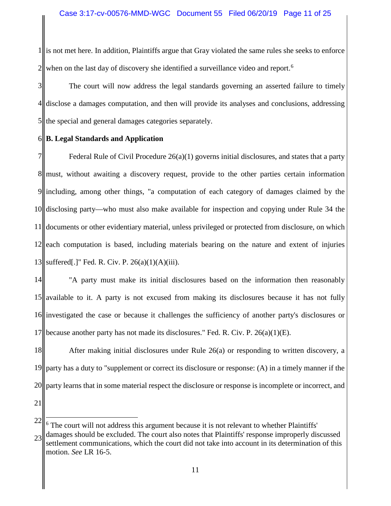1 2 is not met here. In addition, Plaintiffs argue that Gray violated the same rules she seeks to enforce when on the last day of discovery she identified a surveillance video and report.<sup>[6](#page-10-0)</sup>

3 4 5 The court will now address the legal standards governing an asserted failure to timely disclose a damages computation, and then will provide its analyses and conclusions, addressing the special and general damages categories separately.

### 6 **B. Legal Standards and Application**

7 8 must, without awaiting a discovery request, provide to the other parties certain information 9 10 11 12 13 Federal Rule of Civil Procedure  $26(a)(1)$  governs initial disclosures, and states that a party including, among other things, "a computation of each category of damages claimed by the disclosing party—who must also make available for inspection and copying under Rule 34 the documents or other evidentiary material, unless privileged or protected from disclosure, on which each computation is based, including materials bearing on the nature and extent of injuries suffered[.]" Fed. R. Civ. P. 26(a)(1)(A)(iii).

14 15 16 17 "A party must make its initial disclosures based on the information then reasonably available to it. A party is not excused from making its disclosures because it has not fully investigated the case or because it challenges the sufficiency of another party's disclosures or because another party has not made its disclosures." Fed. R. Civ. P. 26(a)(1)(E).

18 19 20 After making initial disclosures under Rule 26(a) or responding to written discovery, a party has a duty to "supplement or correct its disclosure or response: (A) in a timely manner if the party learns that in some material respect the disclosure or response is incomplete or incorrect, and

<span id="page-10-0"></span><sup>22</sup> 23  $6$  The court will not address this argument because it is not relevant to whether Plaintiffs' damages should be excluded. The court also notes that Plaintiffs' response improperly discussed settlement communications, which the court did not take into account in its determination of this motion. *See* LR 16-5.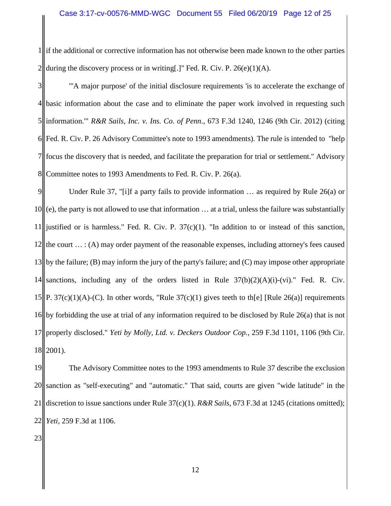1 2 if the additional or corrective information has not otherwise been made known to the other parties during the discovery process or in writing[.]" Fed. R. Civ. P.  $26(e)(1)(A)$ .

3 4 5 6 7 8 "'A major purpose' of the initial disclosure requirements 'is to accelerate the exchange of basic information about the case and to eliminate the paper work involved in requesting such information.'" *R&R Sails, Inc. v. Ins. Co. of Penn.*, 673 F.3d 1240, 1246 (9th Cir. 2012) (citing Fed. R. Civ. P. 26 Advisory Committee's note to 1993 amendments). The rule is intended to "help focus the discovery that is needed, and facilitate the preparation for trial or settlement." Advisory Committee notes to 1993 Amendments to Fed. R. Civ. P. 26(a).

9 10 11 12 the court  $\dots$ : (A) may order payment of the reasonable expenses, including attorney's fees caused 13 14 15||P. 37(c)(1)(A)-(C). In other words, "Rule 37(c)(1) gives teeth to th[e] [Rule 26(a)] requirements 16 by forbidding the use at trial of any information required to be disclosed by Rule 26(a) that is not 17 18 Under Rule 37, "[i]f a party fails to provide information … as required by Rule 26(a) or (e), the party is not allowed to use that information … at a trial, unless the failure was substantially justified or is harmless." Fed. R. Civ. P.  $37(c)(1)$ . "In addition to or instead of this sanction, by the failure; (B) may inform the jury of the party's failure; and (C) may impose other appropriate sanctions, including any of the orders listed in Rule  $37(b)(2)(A)(i)-(vi)$ . Fed. R. Civ. properly disclosed." *Yeti by Molly, Ltd. v. Deckers Outdoor Cop.*, 259 F.3d 1101, 1106 (9th Cir. 2001).

19 20 21  $22$ The Advisory Committee notes to the 1993 amendments to Rule 37 describe the exclusion sanction as "self-executing" and "automatic." That said, courts are given "wide latitude" in the discretion to issue sanctions under Rule 37(c)(1). *R&R Sails,* 673 F.3d at 1245 (citations omitted); *Yeti*, 259 F.3d at 1106.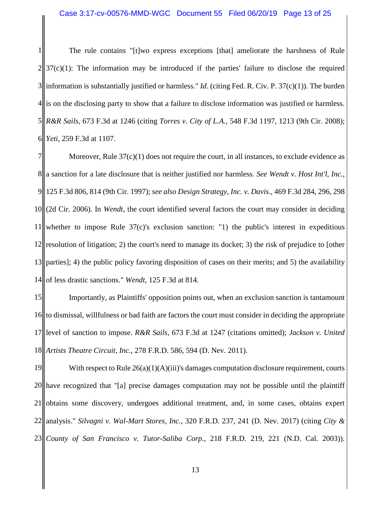1 2 3 4 5 6 The rule contains "[t]wo express exceptions [that] ameliorate the harshness of Rule  $37(c)(1)$ : The information may be introduced if the parties' failure to disclose the required information is substantially justified or harmless." *Id*. (citing Fed. R. Civ. P. 37(c)(1)). The burden is on the disclosing party to show that a failure to disclose information was justified or harmless. *R&R Sails,* 673 F.3d at 1246 (citing *Torres v. City of L.A.*, 548 F.3d 1197, 1213 (9th Cir. 2008); *Yeti,* 259 F.3d at 1107.

7 8 a sanction for a late disclosure that is neither justified nor harmless. *See Wendt v. Host Int'l, Inc.*, 9 125 F.3d 806, 814 (9th Cir. 1997); *see also Design Strategy, Inc. v. Davis*., 469 F.3d 284, 296, 298 10 11 12 13 14 Moreover, Rule  $37(c)(1)$  does not require the court, in all instances, to exclude evidence as (2d Cir. 2006). In *Wendt*, the court identified several factors the court may consider in deciding whether to impose Rule 37(c)'s exclusion sanction: "1) the public's interest in expeditious resolution of litigation; 2) the court's need to manage its docket; 3) the risk of prejudice to [other parties]; 4) the public policy favoring disposition of cases on their merits; and 5) the availability of less drastic sanctions." *Wendt*, 125 F.3d at 814.

15 16 17 18 Importantly, as Plaintiffs' opposition points out, when an exclusion sanction is tantamount to dismissal, willfulness or bad faith are factors the court must consider in deciding the appropriate level of sanction to impose. *R&R Sails,* 673 F.3d at 1247 (citations omitted); *Jackson v. United Artists Theatre Circuit, Inc.*, 278 F.R.D. 586, 594 (D. Nev. 2011).

19 20 21 22 23 With respect to Rule  $26(a)(1)(A)(iii)$ 's damages computation disclosure requirement, courts have recognized that "[a] precise damages computation may not be possible until the plaintiff obtains some discovery, undergoes additional treatment, and, in some cases, obtains expert analysis." *Silvagni v. Wal-Mart Stores, Inc.*, 320 F.R.D. 237, 241 (D. Nev. 2017) (citing *City & County of San Francisco v. Tutor-Saliba Corp.*, 218 F.R.D. 219, 221 (N.D. Cal. 2003)).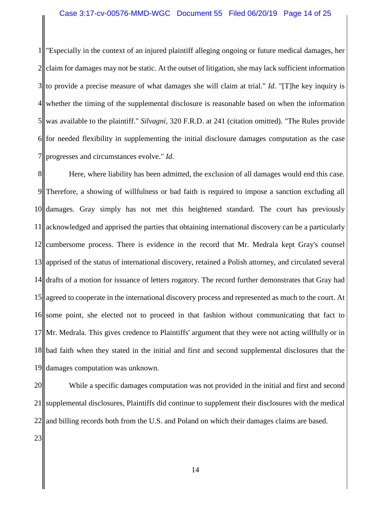## Case 3:17-cv-00576-MMD-WGC Document 55 Filed 06/20/19 Page 14 of 25

1 2 3 4 5 6 7 "Especially in the context of an injured plaintiff alleging ongoing or future medical damages, her claim for damages may not be static. At the outset of litigation, she may lack sufficient information to provide a precise measure of what damages she will claim at trial." *Id*. "[T]he key inquiry is whether the timing of the supplemental disclosure is reasonable based on when the information was available to the plaintiff." *Silvagni*, 320 F.R.D. at 241 (citation omitted). "The Rules provide for needed flexibility in supplementing the initial disclosure damages computation as the case progresses and circumstances evolve." *Id*.

8 9 10 11 12 13 14 15 16 17 18 19 Here, where liability has been admitted, the exclusion of all damages would end this case. Therefore, a showing of willfulness or bad faith is required to impose a sanction excluding all damages. Gray simply has not met this heightened standard. The court has previously acknowledged and apprised the parties that obtaining international discovery can be a particularly cumbersome process. There is evidence in the record that Mr. Medrala kept Gray's counsel apprised of the status of international discovery, retained a Polish attorney, and circulated several drafts of a motion for issuance of letters rogatory. The record further demonstrates that Gray had agreed to cooperate in the international discovery process and represented as much to the court. At some point, she elected not to proceed in that fashion without communicating that fact to Mr. Medrala. This gives credence to Plaintiffs' argument that they were not acting willfully or in bad faith when they stated in the initial and first and second supplemental disclosures that the damages computation was unknown.

20 21 22 While a specific damages computation was not provided in the initial and first and second supplemental disclosures, Plaintiffs did continue to supplement their disclosures with the medical and billing records both from the U.S. and Poland on which their damages claims are based.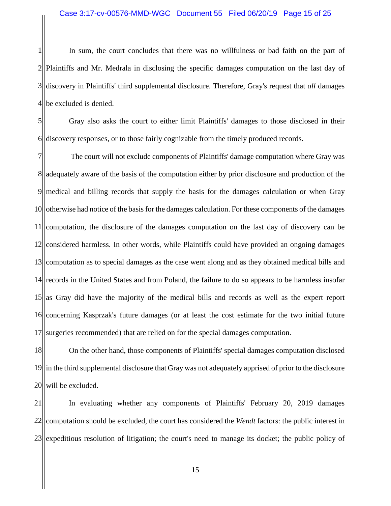1 2 3 4 In sum, the court concludes that there was no willfulness or bad faith on the part of Plaintiffs and Mr. Medrala in disclosing the specific damages computation on the last day of discovery in Plaintiffs' third supplemental disclosure. Therefore, Gray's request that *all* damages be excluded is denied.

5 6 Gray also asks the court to either limit Plaintiffs' damages to those disclosed in their discovery responses, or to those fairly cognizable from the timely produced records.

7 8 9 10 11 12 13 14 15 as Gray did have the majority of the medical bills and records as well as the expert report 16 17 The court will not exclude components of Plaintiffs' damage computation where Gray was adequately aware of the basis of the computation either by prior disclosure and production of the medical and billing records that supply the basis for the damages calculation or when Gray otherwise had notice of the basis for the damages calculation. For these components of the damages computation, the disclosure of the damages computation on the last day of discovery can be considered harmless. In other words, while Plaintiffs could have provided an ongoing damages computation as to special damages as the case went along and as they obtained medical bills and records in the United States and from Poland, the failure to do so appears to be harmless insofar concerning Kasprzak's future damages (or at least the cost estimate for the two initial future surgeries recommended) that are relied on for the special damages computation.

18 19 20 On the other hand, those components of Plaintiffs' special damages computation disclosed in the third supplemental disclosure that Gray was not adequately apprised of prior to the disclosure will be excluded.

21 22 23 In evaluating whether any components of Plaintiffs' February 20, 2019 damages computation should be excluded, the court has considered the *Wendt* factors: the public interest in expeditious resolution of litigation; the court's need to manage its docket; the public policy of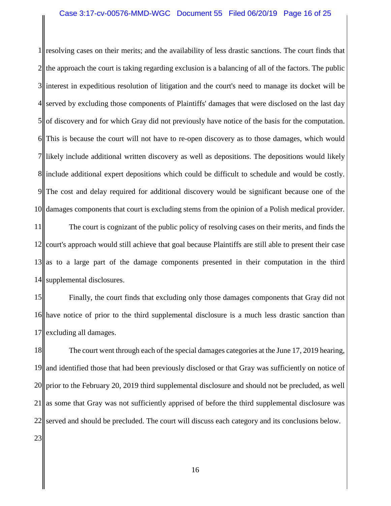1 2 3 interest in expeditious resolution of litigation and the court's need to manage its docket will be 4 5 6 7 8 include additional expert depositions which could be difficult to schedule and would be costly. 9 10 resolving cases on their merits; and the availability of less drastic sanctions. The court finds that the approach the court is taking regarding exclusion is a balancing of all of the factors. The public served by excluding those components of Plaintiffs' damages that were disclosed on the last day of discovery and for which Gray did not previously have notice of the basis for the computation. This is because the court will not have to re-open discovery as to those damages, which would likely include additional written discovery as well as depositions. The depositions would likely The cost and delay required for additional discovery would be significant because one of the damages components that court is excluding stems from the opinion of a Polish medical provider.

11 12 13 14 The court is cognizant of the public policy of resolving cases on their merits, and finds the court's approach would still achieve that goal because Plaintiffs are still able to present their case as to a large part of the damage components presented in their computation in the third supplemental disclosures.

15 16 17 Finally, the court finds that excluding only those damages components that Gray did not have notice of prior to the third supplemental disclosure is a much less drastic sanction than excluding all damages.

18 19 20 21 22 23 The court went through each of the special damages categories at the June 17, 2019 hearing, and identified those that had been previously disclosed or that Gray was sufficiently on notice of prior to the February 20, 2019 third supplemental disclosure and should not be precluded, as well as some that Gray was not sufficiently apprised of before the third supplemental disclosure was served and should be precluded. The court will discuss each category and its conclusions below.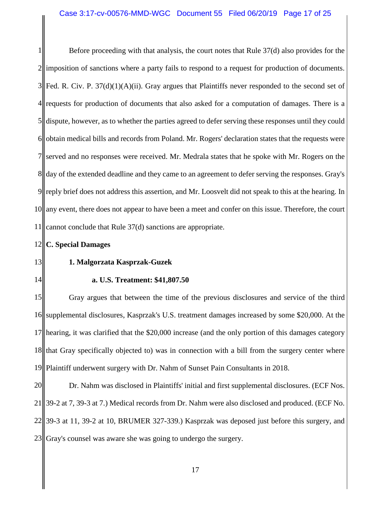1 2 3 4 5 6 7 8|| day of the extended deadline and they came to an agreement to defer serving the responses. Gray's 9 10 11 Before proceeding with that analysis, the court notes that Rule 37(d) also provides for the imposition of sanctions where a party fails to respond to a request for production of documents. Fed. R. Civ. P.  $37(d)(1)(A)(ii)$ . Gray argues that Plaintiffs never responded to the second set of requests for production of documents that also asked for a computation of damages. There is a dispute, however, as to whether the parties agreed to defer serving these responses until they could obtain medical bills and records from Poland. Mr. Rogers' declaration states that the requests were served and no responses were received. Mr. Medrala states that he spoke with Mr. Rogers on the reply brief does not address this assertion, and Mr. Loosvelt did not speak to this at the hearing. In any event, there does not appear to have been a meet and confer on this issue. Therefore, the court cannot conclude that Rule 37(d) sanctions are appropriate.

### 12 **C. Special Damages**

## 13

## **1. Malgorzata Kasprzak-Guzek**

### 14

## **a. U.S. Treatment: \$41,807.50**

15 16 17 18 19 Gray argues that between the time of the previous disclosures and service of the third supplemental disclosures, Kasprzak's U.S. treatment damages increased by some \$20,000. At the hearing, it was clarified that the \$20,000 increase (and the only portion of this damages category that Gray specifically objected to) was in connection with a bill from the surgery center where Plaintiff underwent surgery with Dr. Nahm of Sunset Pain Consultants in 2018.

20  $21$ 22 39-3 at 11, 39-2 at 10, BRUMER 327-339.) Kasprzak was deposed just before this surgery, and 23 Dr. Nahm was disclosed in Plaintiffs' initial and first supplemental disclosures. (ECF Nos. 39-2 at 7, 39-3 at 7.) Medical records from Dr. Nahm were also disclosed and produced. (ECF No. Gray's counsel was aware she was going to undergo the surgery.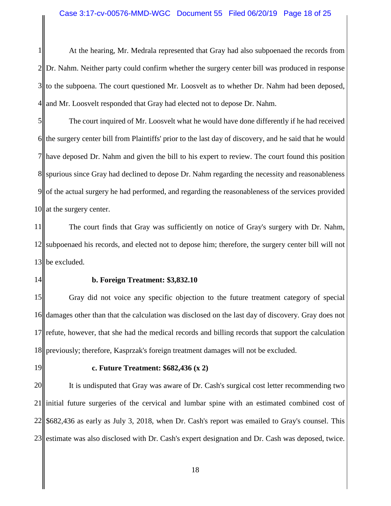1 2 3 4 At the hearing, Mr. Medrala represented that Gray had also subpoenaed the records from Dr. Nahm. Neither party could confirm whether the surgery center bill was produced in response to the subpoena. The court questioned Mr. Loosvelt as to whether Dr. Nahm had been deposed, and Mr. Loosvelt responded that Gray had elected not to depose Dr. Nahm.

5 6 7  $8<sub>II</sub>$ 9 10 The court inquired of Mr. Loosvelt what he would have done differently if he had received the surgery center bill from Plaintiffs' prior to the last day of discovery, and he said that he would have deposed Dr. Nahm and given the bill to his expert to review. The court found this position spurious since Gray had declined to depose Dr. Nahm regarding the necessity and reasonableness of the actual surgery he had performed, and regarding the reasonableness of the services provided at the surgery center.

11 12 13 The court finds that Gray was sufficiently on notice of Gray's surgery with Dr. Nahm, subpoenaed his records, and elected not to depose him; therefore, the surgery center bill will not be excluded.

14

### **b. Foreign Treatment: \$3,832.10**

15 16 17 18 Gray did not voice any specific objection to the future treatment category of special damages other than that the calculation was disclosed on the last day of discovery. Gray does not refute, however, that she had the medical records and billing records that support the calculation previously; therefore, Kasprzak's foreign treatment damages will not be excluded.

19

### **c. Future Treatment: \$682,436 (x 2)**

20 21 22 23 It is undisputed that Gray was aware of Dr. Cash's surgical cost letter recommending two initial future surgeries of the cervical and lumbar spine with an estimated combined cost of \$682,436 as early as July 3, 2018, when Dr. Cash's report was emailed to Gray's counsel. This estimate was also disclosed with Dr. Cash's expert designation and Dr. Cash was deposed, twice.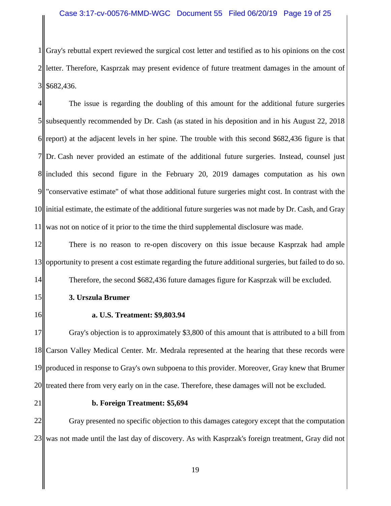1 2 3 Gray's rebuttal expert reviewed the surgical cost letter and testified as to his opinions on the cost letter. Therefore, Kasprzak may present evidence of future treatment damages in the amount of \$682,436.

4 5 6 7 8 included this second figure in the February 20, 2019 damages computation as his own 9 10 11 The issue is regarding the doubling of this amount for the additional future surgeries subsequently recommended by Dr. Cash (as stated in his deposition and in his August 22, 2018 report) at the adjacent levels in her spine. The trouble with this second \$682,436 figure is that Dr. Cash never provided an estimate of the additional future surgeries. Instead, counsel just "conservative estimate" of what those additional future surgeries might cost. In contrast with the initial estimate, the estimate of the additional future surgeries was not made by Dr. Cash, and Gray was not on notice of it prior to the time the third supplemental disclosure was made.

12 13 14 There is no reason to re-open discovery on this issue because Kasprzak had ample opportunity to present a cost estimate regarding the future additional surgeries, but failed to do so. Therefore, the second \$682,436 future damages figure for Kasprzak will be excluded.

- **3. Urszula Brumer**
- 16

15

**a. U.S. Treatment: \$9,803.94**

17 18 19 20 Gray's objection is to approximately \$3,800 of this amount that is attributed to a bill from Carson Valley Medical Center. Mr. Medrala represented at the hearing that these records were produced in response to Gray's own subpoena to this provider. Moreover, Gray knew that Brumer treated there from very early on in the case. Therefore, these damages will not be excluded.

21

### **b. Foreign Treatment: \$5,694**

22 23 Gray presented no specific objection to this damages category except that the computation was not made until the last day of discovery. As with Kasprzak's foreign treatment, Gray did not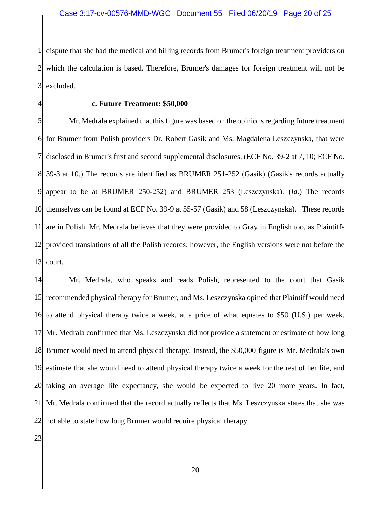1 2 3 dispute that she had the medical and billing records from Brumer's foreign treatment providers on which the calculation is based. Therefore, Brumer's damages for foreign treatment will not be excluded.

4

## **c. Future Treatment: \$50,000**

5 6 7 8 39-3 at 10.) The records are identified as BRUMER 251-252 (Gasik) (Gasik's records actually 9 10 11 12 13 Mr. Medrala explained that this figure was based on the opinions regarding future treatment for Brumer from Polish providers Dr. Robert Gasik and Ms. Magdalena Leszczynska, that were disclosed in Brumer's first and second supplemental disclosures. (ECF No. 39-2 at 7, 10; ECF No. appear to be at BRUMER 250-252) and BRUMER 253 (Leszczynska). (*Id*.) The records themselves can be found at ECF No. 39-9 at 55-57 (Gasik) and 58 (Leszczynska). These records are in Polish. Mr. Medrala believes that they were provided to Gray in English too, as Plaintiffs provided translations of all the Polish records; however, the English versions were not before the court.

14 15 16 17 18 19 20  $21$ 22 Mr. Medrala, who speaks and reads Polish, represented to the court that Gasik recommended physical therapy for Brumer, and Ms. Leszczynska opined that Plaintiff would need to attend physical therapy twice a week, at a price of what equates to \$50 (U.S.) per week. Mr. Medrala confirmed that Ms. Leszczynska did not provide a statement or estimate of how long Brumer would need to attend physical therapy. Instead, the \$50,000 figure is Mr. Medrala's own estimate that she would need to attend physical therapy twice a week for the rest of her life, and taking an average life expectancy, she would be expected to live 20 more years. In fact, Mr. Medrala confirmed that the record actually reflects that Ms. Leszczynska states that she was not able to state how long Brumer would require physical therapy.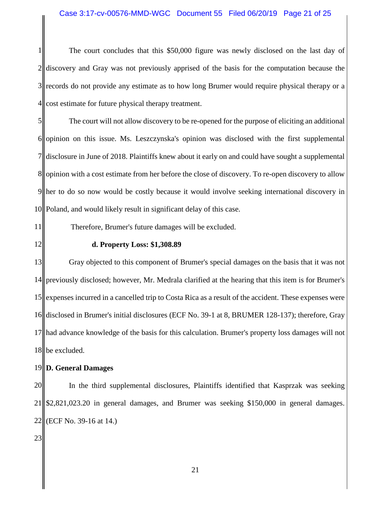### Case 3:17-cv-00576-MMD-WGC Document 55 Filed 06/20/19 Page 21 of 25

1 2 3 4 The court concludes that this \$50,000 figure was newly disclosed on the last day of discovery and Gray was not previously apprised of the basis for the computation because the records do not provide any estimate as to how long Brumer would require physical therapy or a cost estimate for future physical therapy treatment.

5 6 7 8 9 10 The court will not allow discovery to be re-opened for the purpose of eliciting an additional opinion on this issue. Ms. Leszczynska's opinion was disclosed with the first supplemental disclosure in June of 2018. Plaintiffs knew about it early on and could have sought a supplemental opinion with a cost estimate from her before the close of discovery. To re-open discovery to allow her to do so now would be costly because it would involve seeking international discovery in Poland, and would likely result in significant delay of this case.

11

### Therefore, Brumer's future damages will be excluded.

12

### **d. Property Loss: \$1,308.89**

13 14 15 16 17 18 Gray objected to this component of Brumer's special damages on the basis that it was not previously disclosed; however, Mr. Medrala clarified at the hearing that this item is for Brumer's expenses incurred in a cancelled trip to Costa Rica as a result of the accident. These expenses were disclosed in Brumer's initial disclosures (ECF No. 39-1 at 8, BRUMER 128-137); therefore, Gray had advance knowledge of the basis for this calculation. Brumer's property loss damages will not be excluded.

### 19 **D. General Damages**

20 21 22 In the third supplemental disclosures, Plaintiffs identified that Kasprzak was seeking \$2,821,023.20 in general damages, and Brumer was seeking \$150,000 in general damages. (ECF No. 39-16 at 14.)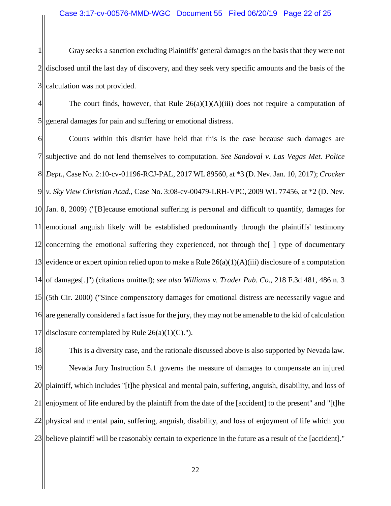1 2 3 Gray seeks a sanction excluding Plaintiffs' general damages on the basis that they were not disclosed until the last day of discovery, and they seek very specific amounts and the basis of the calculation was not provided.

4 5 The court finds, however, that Rule  $26(a)(1)(A)(iii)$  does not require a computation of general damages for pain and suffering or emotional distress.

6 7 8 *Dept.*, Case No. 2:10-cv-01196-RCJ-PAL, 2017 WL 89560, at \*3 (D. Nev. Jan. 10, 2017); *Crocker*  9 10 11 12 13 14 15 16 17 Courts within this district have held that this is the case because such damages are subjective and do not lend themselves to computation. *See Sandoval v. Las Vegas Met. Police v. Sky View Christian Acad.*, Case No. 3:08-cv-00479-LRH-VPC, 2009 WL 77456, at \*2 (D. Nev. Jan. 8, 2009) ("[B]ecause emotional suffering is personal and difficult to quantify, damages for emotional anguish likely will be established predominantly through the plaintiffs' testimony concerning the emotional suffering they experienced, not through the[ ] type of documentary evidence or expert opinion relied upon to make a Rule  $26(a)(1)(A)(iii)$  disclosure of a computation of damages[.]") (citations omitted); *see also Williams v. Trader Pub. Co.*, 218 F.3d 481, 486 n. 3 (5th Cir. 2000) ("Since compensatory damages for emotional distress are necessarily vague and are generally considered a fact issue for the jury, they may not be amenable to the kid of calculation disclosure contemplated by Rule  $26(a)(1)(C)$ .").

18 19 20 21 22 23 This is a diversity case, and the rationale discussed above is also supported by Nevada law. Nevada Jury Instruction 5.1 governs the measure of damages to compensate an injured plaintiff, which includes "[t]he physical and mental pain, suffering, anguish, disability, and loss of enjoyment of life endured by the plaintiff from the date of the [accident] to the present" and "[t]he physical and mental pain, suffering, anguish, disability, and loss of enjoyment of life which you believe plaintiff will be reasonably certain to experience in the future as a result of the [accident]."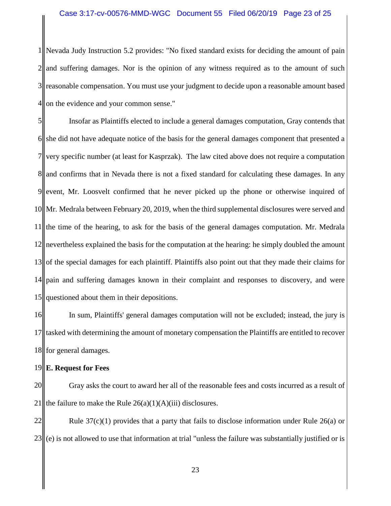1 2 3 4 Nevada Judy Instruction 5.2 provides: "No fixed standard exists for deciding the amount of pain and suffering damages. Nor is the opinion of any witness required as to the amount of such reasonable compensation. You must use your judgment to decide upon a reasonable amount based on the evidence and your common sense."

5 6 7 8|| and confirms that in Nevada there is not a fixed standard for calculating these damages. In any 9 10 11 12 13 14 15 Insofar as Plaintiffs elected to include a general damages computation, Gray contends that she did not have adequate notice of the basis for the general damages component that presented a very specific number (at least for Kasprzak). The law cited above does not require a computation event, Mr. Loosvelt confirmed that he never picked up the phone or otherwise inquired of Mr. Medrala between February 20, 2019, when the third supplemental disclosures were served and the time of the hearing, to ask for the basis of the general damages computation. Mr. Medrala nevertheless explained the basis for the computation at the hearing: he simply doubled the amount of the special damages for each plaintiff. Plaintiffs also point out that they made their claims for pain and suffering damages known in their complaint and responses to discovery, and were questioned about them in their depositions.

16 17 18 In sum, Plaintiffs' general damages computation will not be excluded; instead, the jury is tasked with determining the amount of monetary compensation the Plaintiffs are entitled to recover for general damages.

### 19 **E. Request for Fees**

20 21 Gray asks the court to award her all of the reasonable fees and costs incurred as a result of the failure to make the Rule  $26(a)(1)(A)(iii)$  disclosures.

22 23 Rule  $37(c)(1)$  provides that a party that fails to disclose information under Rule 26(a) or (e) is not allowed to use that information at trial "unless the failure was substantially justified or is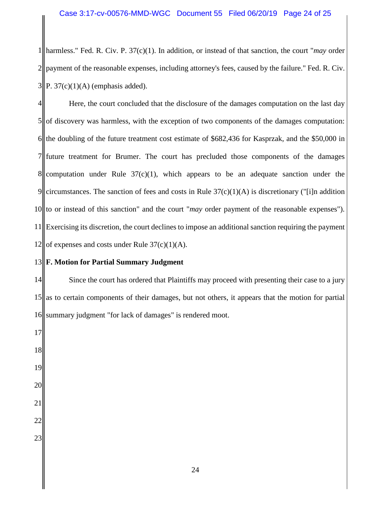1 2 3 harmless." Fed. R. Civ. P. 37(c)(1). In addition, or instead of that sanction, the court "*may* order payment of the reasonable expenses, including attorney's fees, caused by the failure." Fed. R. Civ. P.  $37(c)(1)(A)$  (emphasis added).

4 5 6 7  $8<sub>II</sub>$ 9 10 11 12 Here, the court concluded that the disclosure of the damages computation on the last day of discovery was harmless, with the exception of two components of the damages computation: the doubling of the future treatment cost estimate of \$682,436 for Kasprzak, and the \$50,000 in future treatment for Brumer. The court has precluded those components of the damages computation under Rule  $37(c)(1)$ , which appears to be an adequate sanction under the circumstances. The sanction of fees and costs in Rule  $37(c)(1)(A)$  is discretionary ("[i]n addition to or instead of this sanction" and the court "*may* order payment of the reasonable expenses"). Exercising its discretion, the court declines to impose an additional sanction requiring the payment of expenses and costs under Rule  $37(c)(1)(A)$ .

### 13 **F. Motion for Partial Summary Judgment**

14 15 16 Since the court has ordered that Plaintiffs may proceed with presenting their case to a jury as to certain components of their damages, but not others, it appears that the motion for partial summary judgment "for lack of damages" is rendered moot.